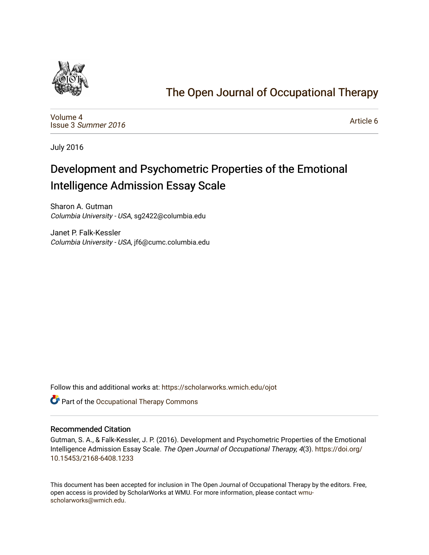

# [The Open Journal of Occupational Therapy](https://scholarworks.wmich.edu/ojot)

[Volume 4](https://scholarworks.wmich.edu/ojot/vol4) Issue 3 [Summer 2016](https://scholarworks.wmich.edu/ojot/vol4/iss3) 

[Article 6](https://scholarworks.wmich.edu/ojot/vol4/iss3/6) 

July 2016

# Development and Psychometric Properties of the Emotional Intelligence Admission Essay Scale

Sharon A. Gutman Columbia University - USA, sg2422@columbia.edu

Janet P. Falk-Kessler Columbia University - USA, jf6@cumc.columbia.edu

Follow this and additional works at: [https://scholarworks.wmich.edu/ojot](https://scholarworks.wmich.edu/ojot?utm_source=scholarworks.wmich.edu%2Fojot%2Fvol4%2Fiss3%2F6&utm_medium=PDF&utm_campaign=PDFCoverPages)

**C** Part of the Occupational Therapy Commons

## Recommended Citation

Gutman, S. A., & Falk-Kessler, J. P. (2016). Development and Psychometric Properties of the Emotional Intelligence Admission Essay Scale. The Open Journal of Occupational Therapy, 4(3). [https://doi.org/](https://doi.org/10.15453/2168-6408.1233) [10.15453/2168-6408.1233](https://doi.org/10.15453/2168-6408.1233) 

This document has been accepted for inclusion in The Open Journal of Occupational Therapy by the editors. Free, open access is provided by ScholarWorks at WMU. For more information, please contact [wmu](mailto:wmu-scholarworks@wmich.edu)[scholarworks@wmich.edu.](mailto:wmu-scholarworks@wmich.edu)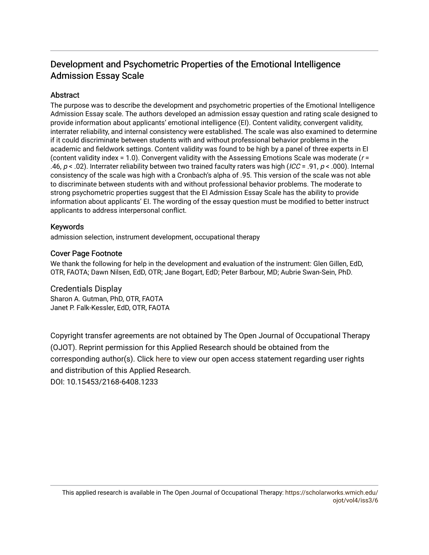# Development and Psychometric Properties of the Emotional Intelligence Admission Essay Scale

## Abstract

The purpose was to describe the development and psychometric properties of the Emotional Intelligence Admission Essay scale. The authors developed an admission essay question and rating scale designed to provide information about applicants' emotional intelligence (EI). Content validity, convergent validity, interrater reliability, and internal consistency were established. The scale was also examined to determine if it could discriminate between students with and without professional behavior problems in the academic and fieldwork settings. Content validity was found to be high by a panel of three experts in EI (content validity index = 1.0). Convergent validity with the Assessing Emotions Scale was moderate ( $r =$ .46,  $p < .02$ ). Interrater reliability between two trained faculty raters was high (ICC = .91,  $p < .000$ ). Internal consistency of the scale was high with a Cronbach's alpha of .95. This version of the scale was not able to discriminate between students with and without professional behavior problems. The moderate to strong psychometric properties suggest that the EI Admission Essay Scale has the ability to provide information about applicants' EI. The wording of the essay question must be modified to better instruct applicants to address interpersonal conflict.

## Keywords

admission selection, instrument development, occupational therapy

## Cover Page Footnote

We thank the following for help in the development and evaluation of the instrument: Glen Gillen, EdD, OTR, FAOTA; Dawn Nilsen, EdD, OTR; Jane Bogart, EdD; Peter Barbour, MD; Aubrie Swan-Sein, PhD.

### Credentials Display

Sharon A. Gutman, PhD, OTR, FAOTA Janet P. Falk-Kessler, EdD, OTR, FAOTA

Copyright transfer agreements are not obtained by The Open Journal of Occupational Therapy (OJOT). Reprint permission for this Applied Research should be obtained from the corresponding author(s). Click [here](https://scholarworks.wmich.edu/ojot/policies.html#rights) to view our open access statement regarding user rights and distribution of this Applied Research. DOI: 10.15453/2168-6408.1233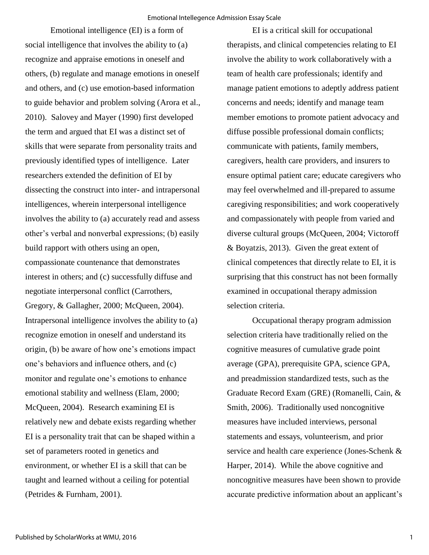Emotional intelligence (EI) is a form of social intelligence that involves the ability to (a) recognize and appraise emotions in oneself and others, (b) regulate and manage emotions in oneself and others, and (c) use emotion-based information to guide behavior and problem solving (Arora et al., 2010). Salovey and Mayer (1990) first developed the term and argued that EI was a distinct set of skills that were separate from personality traits and previously identified types of intelligence. Later researchers extended the definition of EI by dissecting the construct into inter- and intrapersonal intelligences, wherein interpersonal intelligence involves the ability to (a) accurately read and assess other's verbal and nonverbal expressions; (b) easily build rapport with others using an open, compassionate countenance that demonstrates interest in others; and (c) successfully diffuse and negotiate interpersonal conflict (Carrothers, Gregory, & Gallagher, 2000; McQueen, 2004). Intrapersonal intelligence involves the ability to (a) recognize emotion in oneself and understand its origin, (b) be aware of how one's emotions impact one's behaviors and influence others, and (c) monitor and regulate one's emotions to enhance emotional stability and wellness (Elam, 2000; McQueen, 2004). Research examining EI is relatively new and debate exists regarding whether EI is a personality trait that can be shaped within a set of parameters rooted in genetics and environment, or whether EI is a skill that can be taught and learned without a ceiling for potential (Petrides & Furnham, 2001).

EI is a critical skill for occupational therapists, and clinical competencies relating to EI involve the ability to work collaboratively with a team of health care professionals; identify and manage patient emotions to adeptly address patient concerns and needs; identify and manage team member emotions to promote patient advocacy and diffuse possible professional domain conflicts; communicate with patients, family members, caregivers, health care providers, and insurers to ensure optimal patient care; educate caregivers who may feel overwhelmed and ill-prepared to assume caregiving responsibilities; and work cooperatively and compassionately with people from varied and diverse cultural groups (McQueen, 2004; Victoroff & Boyatzis, 2013). Given the great extent of clinical competences that directly relate to EI, it is surprising that this construct has not been formally examined in occupational therapy admission selection criteria.

Occupational therapy program admission selection criteria have traditionally relied on the cognitive measures of cumulative grade point average (GPA), prerequisite GPA, science GPA, and preadmission standardized tests, such as the Graduate Record Exam (GRE) (Romanelli, Cain, & Smith, 2006). Traditionally used noncognitive measures have included interviews, personal statements and essays, volunteerism, and prior service and health care experience (Jones-Schenk & Harper, 2014). While the above cognitive and noncognitive measures have been shown to provide accurate predictive information about an applicant's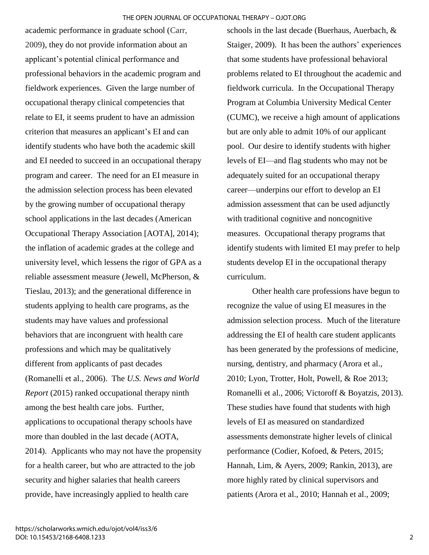academic performance in graduate school (Carr, 2009), they do not provide information about an applicant's potential clinical performance and professional behaviors in the academic program and fieldwork experiences. Given the large number of occupational therapy clinical competencies that relate to EI, it seems prudent to have an admission criterion that measures an applicant's EI and can identify students who have both the academic skill and EI needed to succeed in an occupational therapy program and career. The need for an EI measure in the admission selection process has been elevated by the growing number of occupational therapy school applications in the last decades (American Occupational Therapy Association [AOTA], 2014); the inflation of academic grades at the college and university level, which lessens the rigor of GPA as a reliable assessment measure (Jewell, McPherson, & Tieslau, 2013); and the generational difference in students applying to health care programs, as the students may have values and professional behaviors that are incongruent with health care professions and which may be qualitatively different from applicants of past decades (Romanelli et al., 2006). The *U.S. News and World Report* (2015) ranked occupational therapy ninth among the best health care jobs. Further, applications to occupational therapy schools have more than doubled in the last decade (AOTA, 2014). Applicants who may not have the propensity for a health career, but who are attracted to the job security and higher salaries that health careers provide, have increasingly applied to health care

schools in the last decade (Buerhaus, Auerbach, & Staiger, 2009). It has been the authors' experiences that some students have professional behavioral problems related to EI throughout the academic and fieldwork curricula. In the Occupational Therapy Program at Columbia University Medical Center (CUMC), we receive a high amount of applications but are only able to admit 10% of our applicant pool. Our desire to identify students with higher levels of EI—and flag students who may not be adequately suited for an occupational therapy career—underpins our effort to develop an EI admission assessment that can be used adjunctly with traditional cognitive and noncognitive measures. Occupational therapy programs that identify students with limited EI may prefer to help students develop EI in the occupational therapy curriculum.

Other health care professions have begun to recognize the value of using EI measures in the admission selection process. Much of the literature addressing the EI of health care student applicants has been generated by the professions of medicine, nursing, dentistry, and pharmacy (Arora et al., 2010; Lyon, Trotter, Holt, Powell, & Roe 2013; Romanelli et al., 2006; Victoroff & Boyatzis, 2013). These studies have found that students with high levels of EI as measured on standardized assessments demonstrate higher levels of clinical performance (Codier, Kofoed, & Peters, 2015; Hannah, Lim, & Ayers, 2009; Rankin, 2013), are more highly rated by clinical supervisors and patients (Arora et al., 2010; Hannah et al., 2009;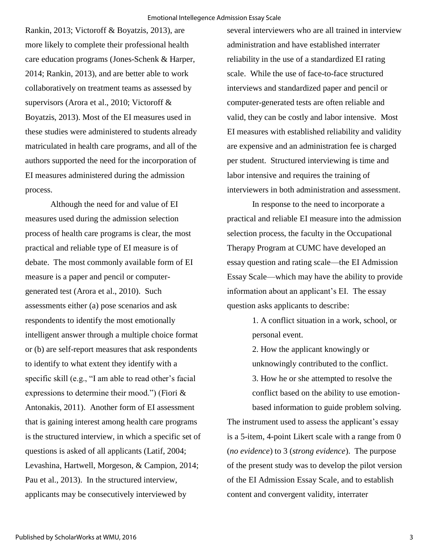Rankin, 2013; Victoroff & Boyatzis, 2013), are more likely to complete their professional health care education programs (Jones-Schenk & Harper, 2014; Rankin, 2013), and are better able to work collaboratively on treatment teams as assessed by supervisors (Arora et al., 2010; Victoroff & Boyatzis, 2013). Most of the EI measures used in these studies were administered to students already matriculated in health care programs, and all of the authors supported the need for the incorporation of EI measures administered during the admission process.

Although the need for and value of EI measures used during the admission selection process of health care programs is clear, the most practical and reliable type of EI measure is of debate. The most commonly available form of EI measure is a paper and pencil or computergenerated test (Arora et al., 2010). Such assessments either (a) pose scenarios and ask respondents to identify the most emotionally intelligent answer through a multiple choice format or (b) are self-report measures that ask respondents to identify to what extent they identify with a specific skill (e.g., "I am able to read other's facial expressions to determine their mood.") (Fiori & Antonakis, 2011). Another form of EI assessment that is gaining interest among health care programs is the structured interview, in which a specific set of questions is asked of all applicants (Latif, 2004; Levashina, Hartwell, Morgeson, & Campion, 2014; Pau et al., 2013). In the structured interview, applicants may be consecutively interviewed by

several interviewers who are all trained in interview administration and have established interrater reliability in the use of a standardized EI rating scale. While the use of face-to-face structured interviews and standardized paper and pencil or computer-generated tests are often reliable and valid, they can be costly and labor intensive. Most EI measures with established reliability and validity are expensive and an administration fee is charged per student. Structured interviewing is time and labor intensive and requires the training of interviewers in both administration and assessment.

In response to the need to incorporate a practical and reliable EI measure into the admission selection process, the faculty in the Occupational Therapy Program at CUMC have developed an essay question and rating scale—the EI Admission Essay Scale—which may have the ability to provide information about an applicant's EI. The essay question asks applicants to describe:

> 1. A conflict situation in a work, school, or personal event.

2. How the applicant knowingly or unknowingly contributed to the conflict.

3. How he or she attempted to resolve the conflict based on the ability to use emotionbased information to guide problem solving.

The instrument used to assess the applicant's essay is a 5-item, 4-point Likert scale with a range from 0 (*no evidence*) to 3 (*strong evidence*). The purpose of the present study was to develop the pilot version of the EI Admission Essay Scale, and to establish content and convergent validity, interrater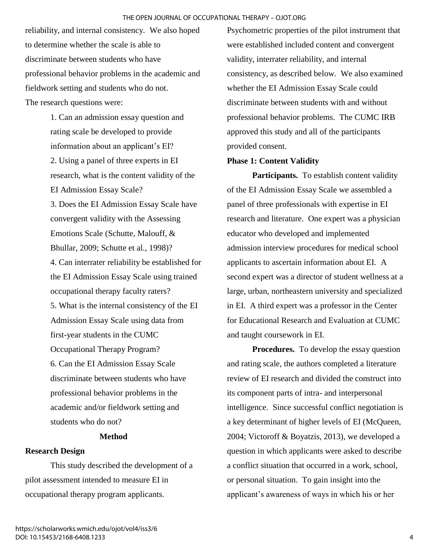reliability, and internal consistency. We also hoped to determine whether the scale is able to discriminate between students who have professional behavior problems in the academic and fieldwork setting and students who do not. The research questions were:

> 1. Can an admission essay question and rating scale be developed to provide information about an applicant's EI? 2. Using a panel of three experts in EI research, what is the content validity of the EI Admission Essay Scale? 3. Does the EI Admission Essay Scale have convergent validity with the Assessing Emotions Scale (Schutte, Malouff, & Bhullar, 2009; Schutte et al., 1998)? 4. Can interrater reliability be established for the EI Admission Essay Scale using trained occupational therapy faculty raters? 5. What is the internal consistency of the EI Admission Essay Scale using data from first-year students in the CUMC Occupational Therapy Program? 6. Can the EI Admission Essay Scale discriminate between students who have professional behavior problems in the academic and/or fieldwork setting and students who do not?

## **Method**

## **Research Design**

This study described the development of a pilot assessment intended to measure EI in occupational therapy program applicants.

Psychometric properties of the pilot instrument that were established included content and convergent validity, interrater reliability, and internal consistency, as described below. We also examined whether the EI Admission Essay Scale could discriminate between students with and without professional behavior problems. The CUMC IRB approved this study and all of the participants provided consent.

#### **Phase 1: Content Validity**

**Participants.** To establish content validity of the EI Admission Essay Scale we assembled a panel of three professionals with expertise in EI research and literature. One expert was a physician educator who developed and implemented admission interview procedures for medical school applicants to ascertain information about EI. A second expert was a director of student wellness at a large, urban, northeastern university and specialized in EI. A third expert was a professor in the Center for Educational Research and Evaluation at CUMC and taught coursework in EI.

**Procedures.** To develop the essay question and rating scale, the authors completed a literature review of EI research and divided the construct into its component parts of intra- and interpersonal intelligence. Since successful conflict negotiation is a key determinant of higher levels of EI (McQueen, 2004; Victoroff & Boyatzis, 2013), we developed a question in which applicants were asked to describe a conflict situation that occurred in a work, school, or personal situation. To gain insight into the applicant's awareness of ways in which his or her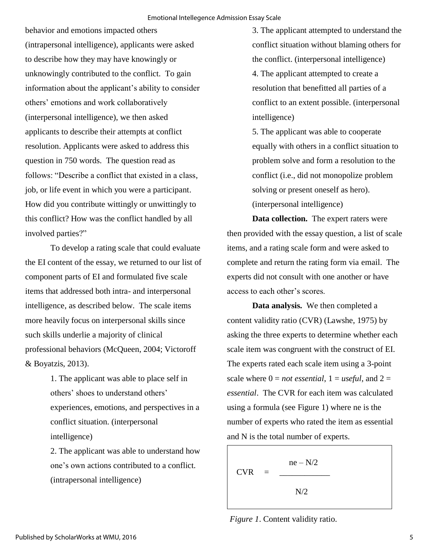behavior and emotions impacted others (intrapersonal intelligence), applicants were asked to describe how they may have knowingly or unknowingly contributed to the conflict. To gain information about the applicant's ability to consider others' emotions and work collaboratively (interpersonal intelligence), we then asked applicants to describe their attempts at conflict resolution. Applicants were asked to address this question in 750 words. The question read as follows: "Describe a conflict that existed in a class, job, or life event in which you were a participant. How did you contribute wittingly or unwittingly to this conflict? How was the conflict handled by all involved parties?"

To develop a rating scale that could evaluate the EI content of the essay, we returned to our list of component parts of EI and formulated five scale items that addressed both intra- and interpersonal intelligence, as described below. The scale items more heavily focus on interpersonal skills since such skills underlie a majority of clinical professional behaviors (McQueen, 2004; Victoroff & Boyatzis, 2013).

> 1. The applicant was able to place self in others' shoes to understand others' experiences, emotions, and perspectives in a conflict situation. (interpersonal intelligence)

> 2. The applicant was able to understand how one's own actions contributed to a conflict. (intrapersonal intelligence)

3. The applicant attempted to understand the conflict situation without blaming others for the conflict. (interpersonal intelligence) 4. The applicant attempted to create a resolution that benefitted all parties of a conflict to an extent possible. (interpersonal intelligence)

5. The applicant was able to cooperate equally with others in a conflict situation to problem solve and form a resolution to the conflict (i.e., did not monopolize problem solving or present oneself as hero). (interpersonal intelligence)

**Data collection.** The expert raters were then provided with the essay question, a list of scale items, and a rating scale form and were asked to complete and return the rating form via email. The experts did not consult with one another or have access to each other's scores.

**Data analysis.** We then completed a content validity ratio (CVR) (Lawshe, 1975) by asking the three experts to determine whether each scale item was congruent with the construct of EI. The experts rated each scale item using a 3-point scale where  $0 = not essential$ ,  $1 = useful$ , and  $2 =$ *essential*. The CVR for each item was calculated using a formula (see Figure 1) where ne is the number of experts who rated the item as essential and N is the total number of experts.

$$
CVR = \frac{ne - N/2}{N/2}
$$

*Figure 1*. Content validity ratio.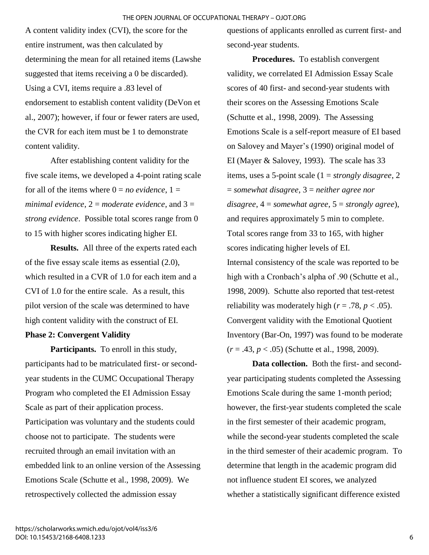A content validity index (CVI), the score for the entire instrument, was then calculated by determining the mean for all retained items (Lawshe suggested that items receiving a 0 be discarded). Using a CVI, items require a .83 level of endorsement to establish content validity (DeVon et al., 2007); however, if four or fewer raters are used, the CVR for each item must be 1 to demonstrate content validity.

After establishing content validity for the five scale items, we developed a 4-point rating scale for all of the items where  $0 = no$  *evidence*,  $1 =$ *minimal evidence*, 2 = *moderate evidence*, and 3 = *strong evidence*. Possible total scores range from 0 to 15 with higher scores indicating higher EI.

**Results.** All three of the experts rated each of the five essay scale items as essential (2.0), which resulted in a CVR of 1.0 for each item and a CVI of 1.0 for the entire scale. As a result, this pilot version of the scale was determined to have high content validity with the construct of EI.

## **Phase 2: Convergent Validity**

**Participants.** To enroll in this study, participants had to be matriculated first- or secondyear students in the CUMC Occupational Therapy Program who completed the EI Admission Essay Scale as part of their application process. Participation was voluntary and the students could choose not to participate. The students were recruited through an email invitation with an embedded link to an online version of the Assessing Emotions Scale (Schutte et al., 1998, 2009). We retrospectively collected the admission essay

questions of applicants enrolled as current first- and second-year students.

**Procedures.** To establish convergent validity, we correlated EI Admission Essay Scale scores of 40 first- and second-year students with their scores on the Assessing Emotions Scale (Schutte et al., 1998, 2009). The Assessing Emotions Scale is a self-report measure of EI based on Salovey and Mayer's (1990) original model of EI (Mayer & Salovey, 1993). The scale has 33 items, uses a 5-point scale (1 = *strongly disagree*, 2 = *somewhat disagree*, 3 = *neither agree nor disagree*, 4 = *somewhat agree*, 5 = *strongly agree*), and requires approximately 5 min to complete. Total scores range from 33 to 165, with higher scores indicating higher levels of EI. Internal consistency of the scale was reported to be high with a Cronbach's alpha of .90 (Schutte et al., 1998, 2009). Schutte also reported that test-retest reliability was moderately high ( $r = .78$ ,  $p < .05$ ). Convergent validity with the Emotional Quotient Inventory (Bar-On, 1997) was found to be moderate (*r* = .43, *p* < .05) (Schutte et al., 1998, 2009).

**Data collection.** Both the first- and secondyear participating students completed the Assessing Emotions Scale during the same 1-month period; however, the first-year students completed the scale in the first semester of their academic program, while the second-year students completed the scale in the third semester of their academic program. To determine that length in the academic program did not influence student EI scores, we analyzed whether a statistically significant difference existed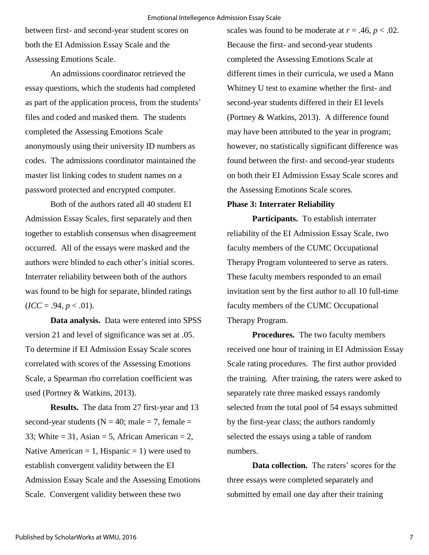between first- and second-year student scores on both the EI Admission Essay Scale and the Assessing Emotions Scale.

An admissions coordinator retrieved the essay questions, which the students had completed as part of the application process, from the students' files and coded and masked them. The students completed the Assessing Emotions Scale anonymously using their university ID numbers as codes. The admissions coordinator maintained the master list linking codes to student names on a password protected and encrypted computer.

Both of the authors rated all 40 student EI Admission Essay Scales, first separately and then together to establish consensus when disagreement occurred. All of the essays were masked and the authors were blinded to each other's initial scores. Interrater reliability between both of the authors was found to be high for separate, blinded ratings  $$ 

**Data analysis.** Data were entered into SPSS version 21 and level of significance was set at .05. To determine if EI Admission Essay Scale scores correlated with scores of the Assessing Emotions Scale, a Spearman rho correlation coefficient was used (Portney & Watkins, 2013).

**Results.** The data from 27 first-year and 13 second-year students ( $N = 40$ ; male = 7, female = 33; White = 31, Asian = 5, African American = 2, Native American = 1, Hispanic = 1) were used to establish convergent validity between the EI Admission Essay Scale and the Assessing Emotions Scale. Convergent validity between these two

scales was found to be moderate at  $r = .46$ ,  $p < .02$ . Because the first- and second-year students completed the Assessing Emotions Scale at different times in their curricula, we used a Mann Whitney U test to examine whether the first- and second-year students differed in their EI levels (Portney & Watkins, 2013). A difference found may have been attributed to the year in program; however, no statistically significant difference was found between the first- and second-year students on both their EI Admission Essay Scale scores and the Assessing Emotions Scale scores.

## **Phase 3: Interrater Reliability**

**Participants.** To establish interrater reliability of the EI Admission Essay Scale, two faculty members of the CUMC Occupational Therapy Program volunteered to serve as raters. These faculty members responded to an email invitation sent by the first author to all 10 full-time faculty members of the CUMC Occupational Therapy Program.

Procedures. The two faculty members received one hour of training in EI Admission Essay Scale rating procedures. The first author provided the training. After training, the raters were asked to separately rate three masked essays randomly selected from the total pool of 54 essays submitted by the first-year class; the authors randomly selected the essays using a table of random numbers.

**Data collection.** The raters' scores for the three essays were completed separately and submitted by email one day after their training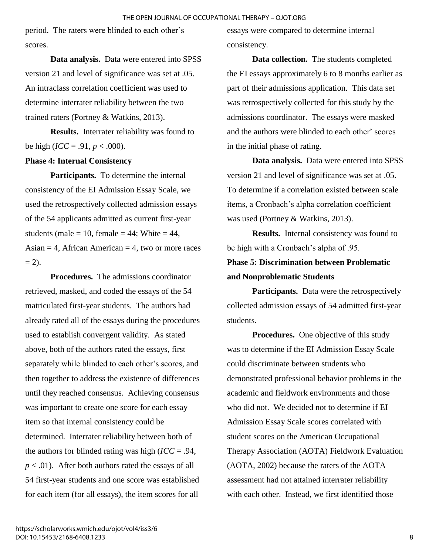period. The raters were blinded to each other's scores.

**Data analysis.** Data were entered into SPSS version 21 and level of significance was set at .05. An intraclass correlation coefficient was used to determine interrater reliability between the two trained raters (Portney & Watkins, 2013).

**Results.** Interrater reliability was found to be high (*ICC* = .91,  $p < .000$ ).

## **Phase 4: Internal Consistency**

**Participants.** To determine the internal consistency of the EI Admission Essay Scale, we used the retrospectively collected admission essays of the 54 applicants admitted as current first-year students (male = 10, female = 44; White = 44, Asian  $=$  4, African American  $=$  4, two or more races  $= 2$ ).

**Procedures.** The admissions coordinator retrieved, masked, and coded the essays of the 54 matriculated first-year students. The authors had already rated all of the essays during the procedures used to establish convergent validity. As stated above, both of the authors rated the essays, first separately while blinded to each other's scores, and then together to address the existence of differences until they reached consensus. Achieving consensus was important to create one score for each essay item so that internal consistency could be determined. Interrater reliability between both of the authors for blinded rating was high (*ICC* = .94, *p* < .01). After both authors rated the essays of all 54 first-year students and one score was established for each item (for all essays), the item scores for all

essays were compared to determine internal consistency.

**Data collection.** The students completed the EI essays approximately 6 to 8 months earlier as part of their admissions application. This data set was retrospectively collected for this study by the admissions coordinator. The essays were masked and the authors were blinded to each other' scores in the initial phase of rating.

**Data analysis.** Data were entered into SPSS version 21 and level of significance was set at .05. To determine if a correlation existed between scale items, a Cronbach's alpha correlation coefficient was used (Portney & Watkins, 2013).

**Results.** Internal consistency was found to be high with a Cronbach's alpha of .95.

# **Phase 5: Discrimination between Problematic and Nonproblematic Students**

**Participants.** Data were the retrospectively collected admission essays of 54 admitted first-year students.

**Procedures.** One objective of this study was to determine if the EI Admission Essay Scale could discriminate between students who demonstrated professional behavior problems in the academic and fieldwork environments and those who did not. We decided not to determine if EI Admission Essay Scale scores correlated with student scores on the American Occupational Therapy Association (AOTA) Fieldwork Evaluation (AOTA, 2002) because the raters of the AOTA assessment had not attained interrater reliability with each other. Instead, we first identified those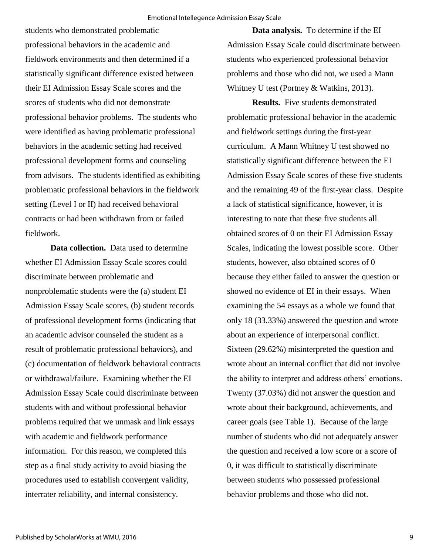students who demonstrated problematic professional behaviors in the academic and fieldwork environments and then determined if a statistically significant difference existed between their EI Admission Essay Scale scores and the scores of students who did not demonstrate professional behavior problems. The students who were identified as having problematic professional behaviors in the academic setting had received professional development forms and counseling from advisors. The students identified as exhibiting problematic professional behaviors in the fieldwork setting (Level I or II) had received behavioral contracts or had been withdrawn from or failed fieldwork.

**Data collection.** Data used to determine whether EI Admission Essay Scale scores could discriminate between problematic and nonproblematic students were the (a) student EI Admission Essay Scale scores, (b) student records of professional development forms (indicating that an academic advisor counseled the student as a result of problematic professional behaviors), and (c) documentation of fieldwork behavioral contracts or withdrawal/failure. Examining whether the EI Admission Essay Scale could discriminate between students with and without professional behavior problems required that we unmask and link essays with academic and fieldwork performance information. For this reason, we completed this step as a final study activity to avoid biasing the procedures used to establish convergent validity, interrater reliability, and internal consistency.

**Data analysis.** To determine if the EI Admission Essay Scale could discriminate between students who experienced professional behavior problems and those who did not, we used a Mann Whitney U test (Portney & Watkins, 2013).

**Results.** Five students demonstrated problematic professional behavior in the academic and fieldwork settings during the first-year curriculum. A Mann Whitney U test showed no statistically significant difference between the EI Admission Essay Scale scores of these five students and the remaining 49 of the first-year class. Despite a lack of statistical significance, however, it is interesting to note that these five students all obtained scores of 0 on their EI Admission Essay Scales, indicating the lowest possible score. Other students, however, also obtained scores of 0 because they either failed to answer the question or showed no evidence of EI in their essays. When examining the 54 essays as a whole we found that only 18 (33.33%) answered the question and wrote about an experience of interpersonal conflict. Sixteen (29.62%) misinterpreted the question and wrote about an internal conflict that did not involve the ability to interpret and address others' emotions. Twenty (37.03%) did not answer the question and wrote about their background, achievements, and career goals (see Table 1). Because of the large number of students who did not adequately answer the question and received a low score or a score of 0, it was difficult to statistically discriminate between students who possessed professional behavior problems and those who did not.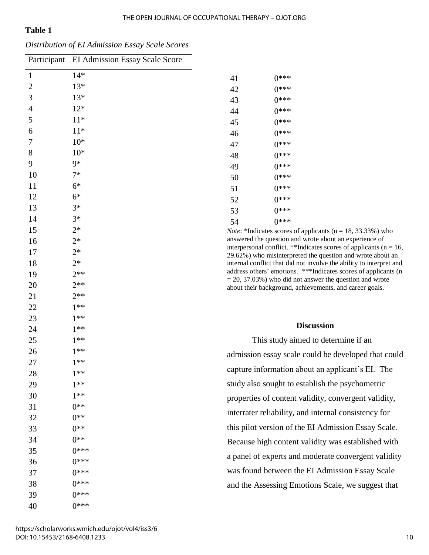## **Table 1**

|  | Distribution of EI Admission Essay Scale Scores |  |  |
|--|-------------------------------------------------|--|--|
|  |                                                 |  |  |

|                | Participant EI Admission Essay Scale Score |                                                                                                                                                                                                                                                                |                                                                                                                                                                                                          |                                                      |  |  |
|----------------|--------------------------------------------|----------------------------------------------------------------------------------------------------------------------------------------------------------------------------------------------------------------------------------------------------------------|----------------------------------------------------------------------------------------------------------------------------------------------------------------------------------------------------------|------------------------------------------------------|--|--|
| 1              | $14*$                                      | 41                                                                                                                                                                                                                                                             |                                                                                                                                                                                                          | $0***$                                               |  |  |
| $\overline{c}$ | $13*$                                      | 42                                                                                                                                                                                                                                                             |                                                                                                                                                                                                          | $0***$                                               |  |  |
| 3              | $13*$                                      | 43                                                                                                                                                                                                                                                             |                                                                                                                                                                                                          | $0***$                                               |  |  |
| 4              | $12*$                                      | 44                                                                                                                                                                                                                                                             |                                                                                                                                                                                                          | $0***$                                               |  |  |
| 5              | $11*$                                      | 45                                                                                                                                                                                                                                                             |                                                                                                                                                                                                          | $0***$                                               |  |  |
| 6              | $11*$                                      | 46                                                                                                                                                                                                                                                             |                                                                                                                                                                                                          | $0***$                                               |  |  |
| 7              | $10*$                                      | 47                                                                                                                                                                                                                                                             |                                                                                                                                                                                                          | $0***$                                               |  |  |
| 8              | $10*$                                      | 48                                                                                                                                                                                                                                                             |                                                                                                                                                                                                          | $0***$                                               |  |  |
| 9              | 9*                                         | 49                                                                                                                                                                                                                                                             |                                                                                                                                                                                                          | $0***$                                               |  |  |
| 10             | $7*$                                       | 50                                                                                                                                                                                                                                                             |                                                                                                                                                                                                          | $0***$                                               |  |  |
| 11             | $6*$                                       | 51                                                                                                                                                                                                                                                             |                                                                                                                                                                                                          | $0***$                                               |  |  |
| 12             | $6*$                                       | 52                                                                                                                                                                                                                                                             |                                                                                                                                                                                                          | $0***$                                               |  |  |
| 13             | $3*$                                       | 53                                                                                                                                                                                                                                                             |                                                                                                                                                                                                          | $0***$                                               |  |  |
| 14             | $3*$                                       | 54                                                                                                                                                                                                                                                             |                                                                                                                                                                                                          | $0***$                                               |  |  |
| 15             | $2*$                                       |                                                                                                                                                                                                                                                                | <i>Note:</i> *Indicates scores of applicants ( $n = 18$ , 33.33%) who<br>answered the question and wrote about an experience of<br>interpersonal conflict. **Indicates scores of applicants ( $n = 16$ , |                                                      |  |  |
| 16             | $2*$                                       |                                                                                                                                                                                                                                                                |                                                                                                                                                                                                          |                                                      |  |  |
| 17             | $2*$                                       | 29.62%) who misinterpreted the question and wrote about an                                                                                                                                                                                                     |                                                                                                                                                                                                          |                                                      |  |  |
| 18             | $2*$                                       | internal conflict that did not involve the ability to interpret and<br>address others' emotions. *** Indicates scores of applicants (n<br>$=$ 20, 37.03%) who did not answer the question and wrote<br>about their background, achievements, and career goals. |                                                                                                                                                                                                          |                                                      |  |  |
| 19             | $2**$<br>$2**$                             |                                                                                                                                                                                                                                                                |                                                                                                                                                                                                          |                                                      |  |  |
| 20<br>21       | $2**$                                      |                                                                                                                                                                                                                                                                |                                                                                                                                                                                                          |                                                      |  |  |
| 22             | $1**$                                      |                                                                                                                                                                                                                                                                |                                                                                                                                                                                                          |                                                      |  |  |
| 23             | $1**$                                      |                                                                                                                                                                                                                                                                |                                                                                                                                                                                                          |                                                      |  |  |
| 24             | $1***$                                     | <b>Discussion</b>                                                                                                                                                                                                                                              |                                                                                                                                                                                                          |                                                      |  |  |
| 25             | $1***$                                     | This study aimed to determine if an                                                                                                                                                                                                                            |                                                                                                                                                                                                          |                                                      |  |  |
| 26             | $1**$                                      |                                                                                                                                                                                                                                                                |                                                                                                                                                                                                          |                                                      |  |  |
| 27             | $1***$                                     | admission essay scale could be developed that could                                                                                                                                                                                                            |                                                                                                                                                                                                          |                                                      |  |  |
| 28             | $1**$                                      | capture information about an applicant's EI. The                                                                                                                                                                                                               |                                                                                                                                                                                                          |                                                      |  |  |
| 29             | $1**$                                      | study also sought to establish the psychometric                                                                                                                                                                                                                |                                                                                                                                                                                                          |                                                      |  |  |
| 30             | $1**$                                      |                                                                                                                                                                                                                                                                |                                                                                                                                                                                                          | properties of content validity, convergent validity, |  |  |
| 31             | $0**$                                      |                                                                                                                                                                                                                                                                |                                                                                                                                                                                                          |                                                      |  |  |
| 32             | $0**$                                      |                                                                                                                                                                                                                                                                |                                                                                                                                                                                                          | interrater reliability, and internal consistency for |  |  |
| 33             | $0**$                                      |                                                                                                                                                                                                                                                                |                                                                                                                                                                                                          | this pilot version of the EI Admission Essay Scale.  |  |  |
| 34             | $0**$                                      |                                                                                                                                                                                                                                                                |                                                                                                                                                                                                          | Because high content validity was established with   |  |  |
| 35             | $0***$                                     |                                                                                                                                                                                                                                                                |                                                                                                                                                                                                          | a panel of experts and moderate convergent validity  |  |  |
| 36             | $0***$                                     |                                                                                                                                                                                                                                                                |                                                                                                                                                                                                          |                                                      |  |  |
| 37             | $0***$                                     |                                                                                                                                                                                                                                                                |                                                                                                                                                                                                          | was found between the EI Admission Essay Scale       |  |  |
| 38             | $0***$                                     |                                                                                                                                                                                                                                                                |                                                                                                                                                                                                          | and the Assessing Emotions Scale, we suggest that    |  |  |
| 39             | $0***$                                     |                                                                                                                                                                                                                                                                |                                                                                                                                                                                                          |                                                      |  |  |
| 40             | $0***$                                     |                                                                                                                                                                                                                                                                |                                                                                                                                                                                                          |                                                      |  |  |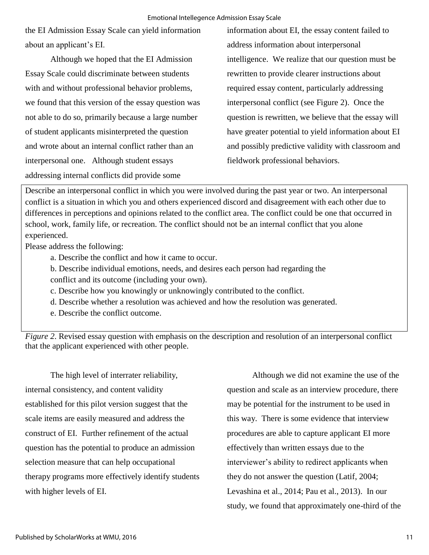the EI Admission Essay Scale can yield information about an applicant's EI.

Although we hoped that the EI Admission Essay Scale could discriminate between students with and without professional behavior problems, we found that this version of the essay question was not able to do so, primarily because a large number of student applicants misinterpreted the question and wrote about an internal conflict rather than an interpersonal one. Although student essays addressing internal conflicts did provide some

information about EI, the essay content failed to address information about interpersonal intelligence. We realize that our question must be rewritten to provide clearer instructions about required essay content, particularly addressing interpersonal conflict (see Figure 2). Once the question is rewritten, we believe that the essay will have greater potential to yield information about EI and possibly predictive validity with classroom and fieldwork professional behaviors.

Describe an interpersonal conflict in which you were involved during the past year or two. An interpersonal conflict is a situation in which you and others experienced discord and disagreement with each other due to differences in perceptions and opinions related to the conflict area. The conflict could be one that occurred in school, work, family life, or recreation. The conflict should not be an internal conflict that you alone experienced.

Please address the following:

- a. Describe the conflict and how it came to occur.
- b. Describe individual emotions, needs, and desires each person had regarding the conflict and its outcome (including your own).
- c. Describe how you knowingly or unknowingly contributed to the conflict.
- d. Describe whether a resolution was achieved and how the resolution was generated.
- e. Describe the conflict outcome.

*Figure 2*. Revised essay question with emphasis on the description and resolution of an interpersonal conflict that the applicant experienced with other people.

The high level of interrater reliability, internal consistency, and content validity established for this pilot version suggest that the scale items are easily measured and address the construct of EI. Further refinement of the actual question has the potential to produce an admission selection measure that can help occupational therapy programs more effectively identify students with higher levels of EI.

Although we did not examine the use of the question and scale as an interview procedure, there may be potential for the instrument to be used in this way. There is some evidence that interview procedures are able to capture applicant EI more effectively than written essays due to the interviewer's ability to redirect applicants when they do not answer the question (Latif, 2004; Levashina et al., 2014; Pau et al., 2013). In our study, we found that approximately one-third of the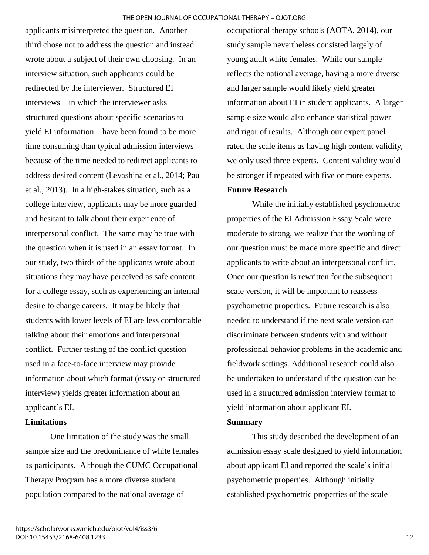applicants misinterpreted the question. Another third chose not to address the question and instead wrote about a subject of their own choosing. In an interview situation, such applicants could be redirected by the interviewer. Structured EI interviews—in which the interviewer asks structured questions about specific scenarios to yield EI information—have been found to be more time consuming than typical admission interviews because of the time needed to redirect applicants to address desired content (Levashina et al., 2014; Pau et al., 2013). In a high-stakes situation, such as a college interview, applicants may be more guarded and hesitant to talk about their experience of interpersonal conflict. The same may be true with the question when it is used in an essay format. In our study, two thirds of the applicants wrote about situations they may have perceived as safe content for a college essay, such as experiencing an internal desire to change careers. It may be likely that students with lower levels of EI are less comfortable talking about their emotions and interpersonal conflict. Further testing of the conflict question used in a face-to-face interview may provide information about which format (essay or structured interview) yields greater information about an applicant's EI.

## **Limitations**

One limitation of the study was the small sample size and the predominance of white females as participants. Although the CUMC Occupational Therapy Program has a more diverse student population compared to the national average of

occupational therapy schools (AOTA, 2014), our study sample nevertheless consisted largely of young adult white females. While our sample reflects the national average, having a more diverse and larger sample would likely yield greater information about EI in student applicants. A larger sample size would also enhance statistical power and rigor of results. Although our expert panel rated the scale items as having high content validity, we only used three experts. Content validity would be stronger if repeated with five or more experts.

## **Future Research**

While the initially established psychometric properties of the EI Admission Essay Scale were moderate to strong, we realize that the wording of our question must be made more specific and direct applicants to write about an interpersonal conflict. Once our question is rewritten for the subsequent scale version, it will be important to reassess psychometric properties. Future research is also needed to understand if the next scale version can discriminate between students with and without professional behavior problems in the academic and fieldwork settings. Additional research could also be undertaken to understand if the question can be used in a structured admission interview format to yield information about applicant EI.

## **Summary**

This study described the development of an admission essay scale designed to yield information about applicant EI and reported the scale's initial psychometric properties. Although initially established psychometric properties of the scale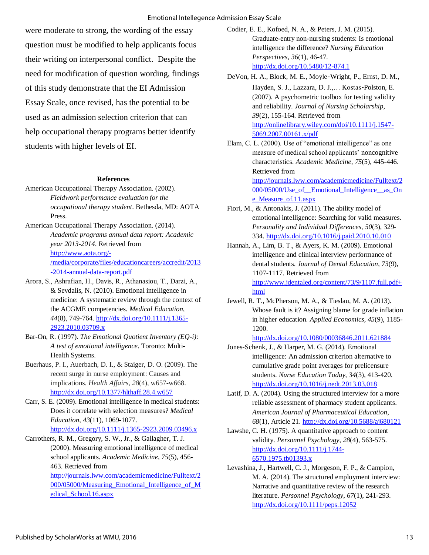were moderate to strong, the wording of the essay question must be modified to help applicants focus their writing on interpersonal conflict. Despite the need for modification of question wording, findings of this study demonstrate that the EI Admission Essay Scale, once revised, has the potential to be used as an admission selection criterion that can help occupational therapy programs better identify students with higher levels of EI.

#### **References**

- American Occupational Therapy Association. (2002). *Fieldwork performance evaluation for the occupational therapy student*. Bethesda, MD: AOTA Press.
- American Occupational Therapy Association. (2014). *Academic programs annual data report: Academic year 2013-2014*. Retrieved from [http://www.aota.org/-](http://www.aota.org/-/media/corporate/files/educationcareers/accredit/2013-2014-annual-data-report.pdf) [/media/corporate/files/educationcareers/accredit/2013](http://www.aota.org/-/media/corporate/files/educationcareers/accredit/2013-2014-annual-data-report.pdf) [-2014-annual-data-report.pdf](http://www.aota.org/-/media/corporate/files/educationcareers/accredit/2013-2014-annual-data-report.pdf)
- Arora, S., Ashrafian, H., Davis, R., Athanasiou, T., Darzi, A., & Sevdalis, N. (2010). Emotional intelligence in medicine: A systematic review through the context of the ACGME competencies. *Medical Education*, *44*(8), 749-764. [http://dx.doi.org/10.1111/j.1365-](http://dx.doi.org/10.1111/j.1365-2923.2010.03709.x) [2923.2010.03709.x](http://dx.doi.org/10.1111/j.1365-2923.2010.03709.x)
- Bar-On, R. (1997). *The Emotional Quotient Inventory (EQ-i): A test of emotional intelligence*. Toronto: Multi-Health Systems.
- Buerhaus, P. I., Auerbach, D. I., & Staiger, D. O. (2009). The recent surge in nurse employment: Causes and implications. *Health Affairs*, *28*(4), w657-w668. <http://dx.doi.org/10.1377/hlthaff.28.4.w657>
- Carr, S. E. (2009). Emotional intelligence in medical students: Does it correlate with selection measures? *Medical Education*, *43*(11), 1069-1077. <http://dx.doi.org/10.1111/j.1365-2923.2009.03496.x>
- Carrothers, R. M., Gregory, S. W., Jr., & Gallagher, T. J. (2000). Measuring emotional intelligence of medical school applicants. *Academic Medicine*, *75*(5), 456- 463. Retrieved from [http://journals.lww.com/academicmedicine/Fulltext/2](http://journals.lww.com/academicmedicine/Fulltext/2000/05000/Measuring_Emotional_Intelligence_of_Medical_School.16.aspx)

[000/05000/Measuring\\_Emotional\\_Intelligence\\_of\\_M](http://journals.lww.com/academicmedicine/Fulltext/2000/05000/Measuring_Emotional_Intelligence_of_Medical_School.16.aspx) [edical\\_School.16.aspx](http://journals.lww.com/academicmedicine/Fulltext/2000/05000/Measuring_Emotional_Intelligence_of_Medical_School.16.aspx) 

Codier, E. E., Kofoed, N. A., & Peters, J. M. (2015). Graduate-entry non-nursing students: Is emotional intelligence the difference? *Nursing Education Perspectives*, *36*(1), 46-47. http://dx.doi.org/10.5480/12-874.1

DeVon, H. A., Block, M. E., Moyle‐Wright, P., Ernst, D. M., Hayden, S. J., Lazzara, D. J.,… Kostas‐Polston, E. (2007). A psychometric toolbox for testing validity and reliability. *Journal of Nursing Scholarship*, *39*(2), 155-164. Retrieved from [http://onlinelibrary.wiley.com/doi/10.1111/j.1547-](http://onlinelibrary.wiley.com/doi/10.1111/j.1547-5069.2007.00161.x/pdf) [5069.2007.00161.x/pdf](http://onlinelibrary.wiley.com/doi/10.1111/j.1547-5069.2007.00161.x/pdf)

Elam, C. L. (2000). Use of "emotional intelligence" as one measure of medical school applicants' noncognitive characteristics. *Academic Medicine*, *75*(5), 445-446. Retrieved from [http://journals.lww.com/academicmedicine/Fulltext/2](http://journals.lww.com/academicmedicine/Fulltext/2000/05000/Use_of__Emotional_Intelligence__as_One_Measure_of.11.aspx)

000/05000/Use of Emotional Intelligence as On [e\\_Measure\\_of.11.aspx](http://journals.lww.com/academicmedicine/Fulltext/2000/05000/Use_of__Emotional_Intelligence__as_One_Measure_of.11.aspx) 

- Fiori, M., & Antonakis, J. (2011). The ability model of emotional intelligence: Searching for valid measures. *Personality and Individual Differences*, *50*(3), 329- 334.<http://dx.doi.org/10.1016/j.paid.2010.10.010>
- Hannah, A., Lim, B. T., & Ayers, K. M. (2009). Emotional intelligence and clinical interview performance of dental students. *Journal of Dental Education*, *73*(9), 1107-1117. Retrieved from [http://www.jdentaled.org/content/73/9/1107.full.pdf+](http://www.jdentaled.org/content/73/9/1107.full.pdf+html) [html](http://www.jdentaled.org/content/73/9/1107.full.pdf+html)
- Jewell, R. T., McPherson, M. A., & Tieslau, M. A. (2013). Whose fault is it? Assigning blame for grade inflation in higher education. *Applied Economics*, *45*(9), 1185- 1200.

<http://dx.doi.org/10.1080/00036846.2011.621884>

- Jones-Schenk, J., & Harper, M. G. (2014). Emotional intelligence: An admission criterion alternative to cumulative grade point averages for prelicensure students. *Nurse Education Today*, *34*(3), 413-420. <http://dx.doi.org/10.1016/j.nedt.2013.03.018>
- Latif, D. A. (2004). Using the structured interview for a more reliable assessment of pharmacy student applicants. *American Journal of Pharmaceutical Education*, *68*(1), Article 21. http://dx.doi.org/10.5688/aj680121
- Lawshe, C. H. (1975). A quantitative approach to content validity. *Personnel Psychology*, *28*(4), 563-575. [http://dx.doi.org/10.1111/j.1744-](http://dx.doi.org/10.1111/j.1744-6570.1975.tb01393.x) [6570.1975.tb01393.x](http://dx.doi.org/10.1111/j.1744-6570.1975.tb01393.x)
- Levashina, J., Hartwell, C. J., Morgeson, F. P., & Campion, M. A. (2014). The structured employment interview: Narrative and quantitative review of the research literature. *Personnel Psychology*, *67*(1), 241-293. <http://dx.doi.org/10.1111/peps.12052>